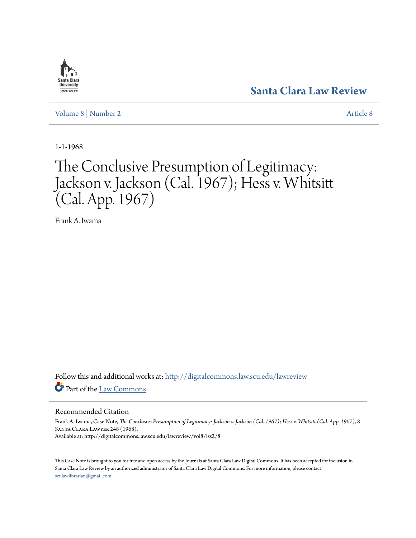# **[Santa Clara Law Review](http://digitalcommons.law.scu.edu/lawreview?utm_source=digitalcommons.law.scu.edu%2Flawreview%2Fvol8%2Fiss2%2F8&utm_medium=PDF&utm_campaign=PDFCoverPages)**

[Volume 8](http://digitalcommons.law.scu.edu/lawreview/vol8?utm_source=digitalcommons.law.scu.edu%2Flawreview%2Fvol8%2Fiss2%2F8&utm_medium=PDF&utm_campaign=PDFCoverPages) | [Number 2](http://digitalcommons.law.scu.edu/lawreview/vol8/iss2?utm_source=digitalcommons.law.scu.edu%2Flawreview%2Fvol8%2Fiss2%2F8&utm_medium=PDF&utm_campaign=PDFCoverPages) [Article 8](http://digitalcommons.law.scu.edu/lawreview/vol8/iss2/8?utm_source=digitalcommons.law.scu.edu%2Flawreview%2Fvol8%2Fiss2%2F8&utm_medium=PDF&utm_campaign=PDFCoverPages)

1-1-1968

# The Conclusive Presumption of Legitimacy: Jackson v. Jackson (Cal. 1967); Hess v. Whitsitt (Cal. App. 1967)

Frank A. Iwama

Follow this and additional works at: [http://digitalcommons.law.scu.edu/lawreview](http://digitalcommons.law.scu.edu/lawreview?utm_source=digitalcommons.law.scu.edu%2Flawreview%2Fvol8%2Fiss2%2F8&utm_medium=PDF&utm_campaign=PDFCoverPages) Part of the [Law Commons](http://network.bepress.com/hgg/discipline/578?utm_source=digitalcommons.law.scu.edu%2Flawreview%2Fvol8%2Fiss2%2F8&utm_medium=PDF&utm_campaign=PDFCoverPages)

### Recommended Citation

Frank A. Iwama, Case Note, *The Conclusive Presumption of Legitimacy: Jackson v. Jackson (Cal. 1967); Hess v. Whitsitt (Cal. App. 1967)*, 8 Santa Clara Lawyer 248 (1968). Available at: http://digitalcommons.law.scu.edu/lawreview/vol8/iss2/8

This Case Note is brought to you for free and open access by the Journals at Santa Clara Law Digital Commons. It has been accepted for inclusion in Santa Clara Law Review by an authorized administrator of Santa Clara Law Digital Commons. For more information, please contact [sculawlibrarian@gmail.com](mailto:sculawlibrarian@gmail.com).

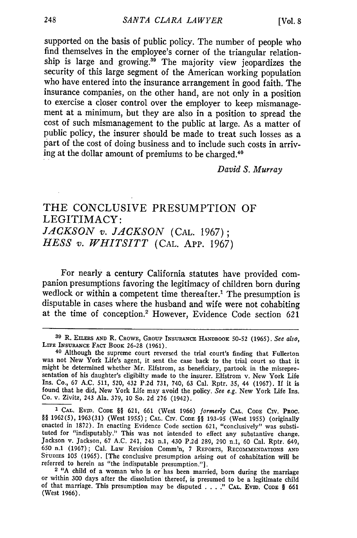supported on the basis of public policy. The number of people who find themselves in the employee's corner of the triangular relationship is large and growing.<sup>39</sup> The majority view jeopardizes the security of this large segment of the American working population who have entered into the insurance arrangement in good faith. The insurance companies, on the other hand, are not only in a position to exercise a closer control over the employer to keep mismanagement at a minimum, but they are also in a position to spread the cost of such mismanagement to the public at large. As a matter of public policy, the insurer should be made to treat such losses as a part of the cost of doing business and to include such costs in arriving at the dollar amount of premiums to be charged.<sup>44</sup>

*David S. Murray*

# THE **CONCLUSIVE PRESUMPTION** OF LEGITIMACY: *JACKSON v. JACKSON* **(CAL. 1967);** *HESS v. WHITSITT* **(CAL. App. 1967)**

For nearly a century California statutes have provided comwedlock or within a competent time thereafter.<sup>1</sup> The presumption is disputable in cases where the husband and wife were not cohabiting at the time of conception.' However, Evidence Code section **<sup>621</sup>**

**<sup>39</sup>**R. **EILERS AND** R. **CROWE, GROUP INSURANCE HANDBOOK 50-52 (1965).** *See also,* LIFE **INSURANCE FACT BOOK** 26-28 (1961).

**<sup>40</sup>**Although the supreme court reversed the trial court's finding that Fullerton was not New York Life's agent, it sent the case back to the trial court so that it might be determined whether Mr. Elfstrom, as beneficiary, partook in the misrepre- sentation of his daughter's eligibilty made to the insurer. Elfstrom v. New York Life Ins. Co., **67** A.C. 511, **520,** 432 **P.2d 731,** 740, **63** Cal. Rptr. **35,** 44 (1967). If it is found that he did, New York Life may avoid the policy. *See e.g.* New York Life Ins. Co. v. Zivitz, 243 Ala. **379, 10** So. **2d 276** (1942).

<sup>&</sup>lt;sup>1</sup> CAL. EVID. CODE §§ 621, 661 (West 1966) formerly CAL. CODE CIV. PROC. §§ 1962(5), 1963(31) (West 1955); CAL. CIV. CODE §§ 193-95 (West 1955) (originally enacted in 1872). In enacting Evidence Code section 621, "conclu tuted for "indisputably." This was not intended to effect any substantive change. Jackson v. Jackson, 67 A.C. 241, 243 n.1, 430 P.2d 289, 290 n.1, 60 Cal. Rptr. 649, 650 n.1 (1967); Cal. Law Revision Comm'n, **7** REPORTS, RECOMMENDATIONS **AND** STUDIES 105 (1965). [The conclusive presumption arising out of cohabitation will be referred to herein as "the indisputable presumption."].

<sup>&</sup>lt;sup>2</sup> "A child of a woman who is or has been married, born during the marriage or within 300 days after the dissolution thereof, is presumed to be a legitimate child of that marriage. This presumption may be disputed . . . . " CAL. EviD. CODE § 661 (West 1966).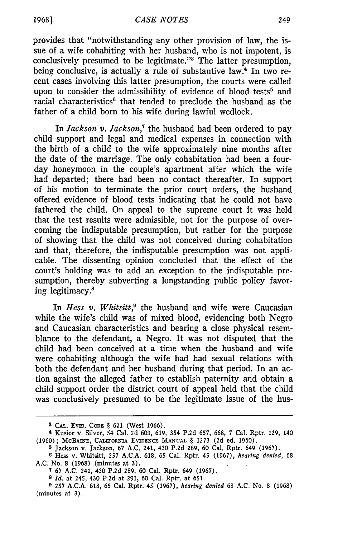provides that "notwithstanding any other provision of law, the issue of a wife cohabiting with her husband, who is not impotent, is conclusively presumed to be legitimate."8 The latter presumption, being conclusive, is actually a rule of substantive law.<sup>4</sup> In two recent cases involving this latter presumption, the courts were called upon to consider the admissibility of evidence of blood tests<sup>5</sup> and racial characteristics<sup>6</sup> that tended to preclude the husband as the father of a child born to his wife during lawful wedlock.

In *Jackson v. Jackson,7* the husband had been ordered to pay child support and legal and medical expenses in connection with the birth of a child to the wife approximately nine months after the date of the marriage. The only cohabitation had been a fourday honeymoon in the couple's apartment after which the wife had departed; there had been no contact thereafter. In support of his motion to terminate the prior court orders, the husband offered evidence of blood tests indicating that he could not have fathered the child. On appeal to the supreme court it was held that the test results were admissible, not for the purpose of overcoming the indisputable presumption, but rather for the purpose of showing that the child was not conceived during cohabitation and that, therefore, the indisputable presumption was not applicable. The dissenting opinion concluded that the effect of the court's holding was to add an exception to the indisputable presumption, thereby subverting a longstanding public policy favoring legitimacy.8

In *Hess v. Whitsitt*,<sup>9</sup> the husband and wife were Caucasian while the wife's child was of mixed blood, evidencing both Negro and Caucasian characteristics and bearing a close physical resemblance to the defendant, a Negro. It was not disputed that the child had been conceived at a time when the husband and wife were cohabiting although the wife had had sexual relations with both the defendant and her husband during that period. In an action against the alleged father to establish paternity and obtain a child support order the district court of appeal held that the child was conclusively presumed to be the legitimate issue of the hus-

**<sup>3</sup> CAL.** Evm. **CODE** § 621 (West 1966).

**<sup>.4</sup>** Kusior v. Silver, 54 Cal. 2d 603, 619, 354 P.2d 657, 668, 7 Cal. Rptr. 129, 140 (1960); McBAINE, CALIFORNIA EVIDENCE **MANUAL** § 1273 (2d **ed.** 1960).

**<sup>5</sup>** Jackson v. Jackson, 67 A.C. 241, 430 P.2d 289, 60 Cal. Rptr. 649 (1967).

**<sup>6</sup>** Hess v. Whitsitt, 257 A.C.A. 618, 65 Cal. Rptr. 45 (1967), *hearing denied,* 68 A.C. No. 8 (1968) (minutes at 3).

**<sup>7</sup>** 67 A.C. 241, 430 P.2d 289, 60 Cal. Rptr. 649 (1967).

**<sup>8</sup>** *Id.* at 245, 430 P.2d at 291, 60 Cal. Rptr. at 651.

**<sup>9</sup>** 257 A.C.A. 618, 65 Cal. Rptr. 45 (1967), *hearing denied* 68 **A.C.** No. 8 (1968) (minutes at 3).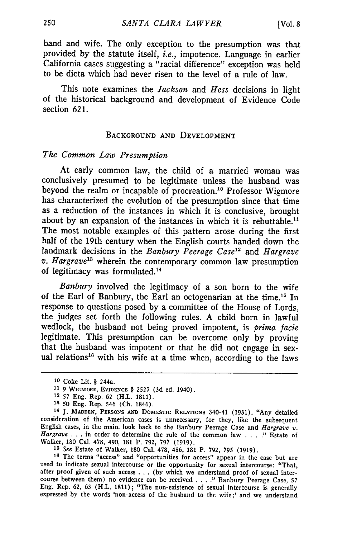band and wife. The only exception to the presumption was that provided by the statute itself, *i.e.,* impotence. Language in earlier California cases suggesting a "racial difference" exception was held to be dicta which had never risen to the level of a rule of law.

This note examines the *Jackson* and *Hess* decisions in light of the historical background and development of Evidence Code section 621.

#### BACKGROUND AND DEVELOPMENT

#### *The Common Law Presumption*

At early common law, the child of a married woman was conclusively presumed to be legitimate unless the husband was beyond the realm or incapable of procreation.'0 Professor Wigmore has characterized the evolution of the presumption since that time as a reduction of the instances in which it is conclusive, brought about by an expansion of the instances in which it is rebuttable.<sup>11</sup> The most notable examples of this pattern arose during the first half of the 19th century when the English courts handed down the landmark decisions in the *Banbury Peerage Case'"* and *Hargrave v. Hargrave13* wherein the contemporary common law presumption of legitimacy was formulated.<sup>14</sup>

*Banbury* involved the legitimacy of a son born to the wife of the Earl of Banbury, the Earl an octogenarian at the time.<sup>15</sup> In response to questions posed by a committee of the House of Lords, the judges set forth the following rules. A child born in lawful wedlock, the husband not being proved impotent, is *prima facie* legitimate. This presumption can be overcome only by proving that the husband was impotent or that he did not engage in sexual relations<sup>16</sup> with his wife at a time when, according to the laws

**<sup>15</sup>***See* Estate of Walker, 180 Cal. 478, 486, 181 P. 792, 795 (1919). **<sup>16</sup>**The terms "access" and "opportunities for access" appear in the case but are used to indicate sexual intercourse or the opportunity for sexual intercourse: "That, after proof given of such access . . . (by which we understand proof of sexual inter- course between them) no evidence can be received .... **."** Banbury Peerage Case, 57 Eng. Rep. 62, 63 (H.L. 1811); "The non-existence of sexual intercourse is generally expressed by the words 'non-access of the husband to the wife;' and we understand

**l0** Coke Lit. § 244a.

**<sup>11 9</sup>** WIGMORE, EVIDENCE § **2527 (3d ed.** 1940).

<sup>12</sup> **57** Eng. Rep. 62 (H.L. 1811).

**<sup>3</sup> 50** Eng. Rep. 546 (Ch. 1846).

**<sup>14</sup>J. MADDEN, PERSONS AND** DOMESTIC **RELATIONS** 340-41 (1931). "Any detailed consideration of the American cases is unnecessary, for they, like the subsequent English cases, in the main, look back to the Banbury Peerage Case and *Hargrave*  $v$ .<br>*Hargrave* ... in order to determine the rule of the Walker, 180 Cal. 478, 490, 181 P. 792, 797 (1919).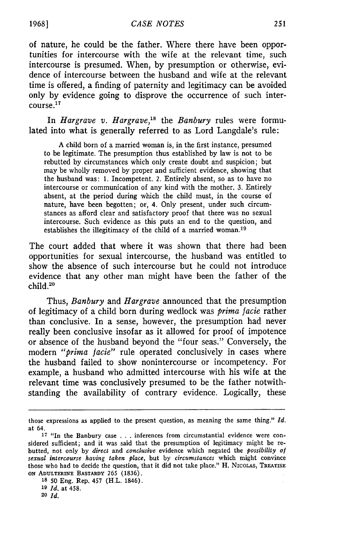of nature, he could be the father. Where there have been opportunities for intercourse with the wife at the relevant time, such intercourse is presumed. When, by presumption or otherwise, evidence of intercourse between the husband and wife at the relevant time is offered, a finding of paternity and legitimacy can be avoided only by evidence going to disprove the occurrence of such intercourse.17

In *Hargrave v. Hargrave,"8* the *Banbury* rules were formulated into what is generally referred to as Lord Langdale's rule:

A child born of a married woman is, in the first instance, presumed to be legitimate. The presumption thus established by law is not to be rebutted by circumstances which only create doubt and suspicion; but may be wholly removed by proper and sufficient evidence, showing that the husband was: 1. Incompetent. 2. Entirely absent, so as to have no intercourse or communication of any kind with the mother. 3. Entirely absent, at the period during which the child must, in the course of nature, have been begotten; or, 4. Only present, under such circumstances as afford clear and satisfactory proof that there was no sexual intercourse. Such evidence as this puts an end to the question, and establishes the illegitimacy of the child of a married woman.<sup>19</sup>

The court added that where it was shown that there had been opportunities for sexual intercourse, the husband was entitled to show the absence of such intercourse but he could not introduce evidence that any other man might have been the father of the child.<sup>20</sup>

Thus, *Banbury* and *Hargrave* announced that the presumption of legitimacy of a child born during wedlock was *prima facie* rather than conclusive. In a sense, however, the presumption had never really been conclusive insofar as it allowed for proof of impotence or absence of the husband beyond the "four seas." Conversely, the modern *"prima facie"* rule operated conclusively in cases where the husband failed to show nonintercourse or incompetency. For example, a husband who admitted intercourse with his wife at the relevant time was conclusively presumed to be the father notwithstanding the availability of contrary evidence. Logically, these

**18 50** Eng. Rep. 457 (H.L. 1846). **<sup>19</sup>***Id.* at 458. **<sup>20</sup>***Id.*

those expressions as applied to the present question, as meaning the same thing." *Id.* at 64.

**<sup>17</sup>** "In the Banbury case .. .inferences from circumstantial evidence were considered sufficient; and it was said that the presumption of legitimacy might be rebutted, not only by *direct* and *conclusive* evidence which negated the *possibility of sexual intercourse having taken place,* but by *circumstances* which might convince those who had to decide the question, that it did not take place." H. NIcOLAS, **TREATISE ON ADULTERINE** BAsTARDY **265** (1836).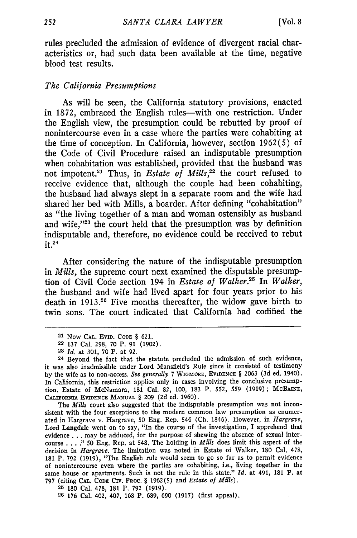rules precluded the admission of evidence of divergent racial characteristics or, had such data been available at the time, negative blood test results.

#### *The California Presumptions*

As will be seen, the California statutory provisions, enacted in **1872,** embraced the English rules-with one restriction. Under the English view, the presumption could be rebutted **by** proof of nonintercourse even in a case where the parties were cohabiting at the time of conception. In California, however, section **1962(5)** of the Code of Civil Procedure raised an indisputable presumption when cohabitation was established, provided that the husband was not impotent.<sup>21</sup> Thus, in *Estate of Mills*,<sup>22</sup> the court refused to receive evidence that, although the couple had been cohabiting, the husband had always slept in a separate room and the wife had shared her bed with Mills, a boarder. After defining "cohabitation" as "the living together of a man and woman ostensibly as husband and wife,"23 the court held that the presumption was **by** definition indisputable and, therefore, no evidence could be received to rebut it.<sup>24</sup>

After considering the nature of the indisputable presumption in *Mills,* the supreme court next examined the disputable presumption of Civil Code section 194 in *Estate of Walker. <sup>5</sup>*In *Walker,* the husband and wife had lived apart for four years prior to his death in **1913.20** Five months thereafter, the widow gave birth to twin sons. The court indicated that California had codified the

The *Mills* court also suggested that the indisputable presumption was not inconsistent with the four exceptions to the modern common law presumption as enumerated in Hargrave v. Hargrave, **50** Eng. Rep. 546 **(Ch.** 1846). However, in *Hargrave,* Lord Langdale went on to say, "In the course of the investigation, I apprehend that evidence . . . may be adduced, for the purpose of shewing the absence of sexual intercourse **.... " 50** Eng. Rep. at 548. The holding in *Mills* does limit this aspect of the decision in *Hargrave.* The limitation was noted in Estate of Walker, **180** Cal. **478, 181** P. **792 (1919),** "The English rule would seem to go so far as to permit evidence of nonintercourse even where the parties are cohabiting, i.e., living together in the same house or apartments. Such is not the rule in this state." *Id.* **at 491, 181** P. at **797 (citing CAL. CODE CIV. PROC. § 1962(5)** and *Estate of Mills).*

**25 180** Cal. **478, 181** P. **792 (1919).**

**26 176** Cal. 402, 407, **168** P. **689, 690 (1917)** (first appeal).

**<sup>21</sup> Now CAL. EVID. CODE § 621.**

**<sup>22 137</sup>** Cal. **298, 70** P. **91 (1902).**

**<sup>23</sup>** *Id.* **at 301, 70** P. **at 92.**

<sup>24</sup> Beyond the fact that the statute precluded the admission of such evidence, it was also inadmissible under Lord Mansfield's Rule since it consisted of testimony **by** the wife as to non-access. *See generally* **7 WIGMORE, EVIDENCE § 2063 (3d** ed. 1940). In California, this restriction applies only in cases involving the conclusive presumption. Estate of McNamara, **181** Cal. **82, 100, 183** P. **552, 559 (1919); McBAINE, CALIFORNIA EVIDENCE MANUAL § 209 (2d ed. 1960).**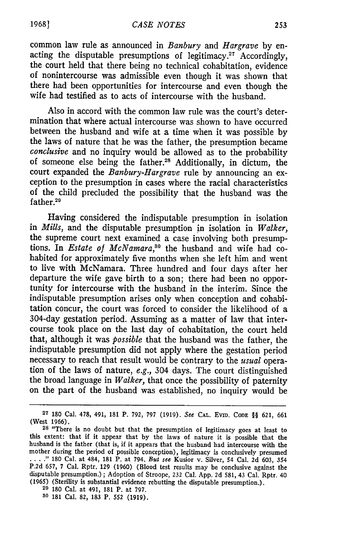common law rule as announced in *Banbury* and *Hargrave* by enacting the disputable presumptions of legitimacy.<sup>27</sup> Accordingly, the court held that there being no technical cohabitation, evidence of nonintercourse was admissible even though it was shown that there had been opportunities for intercourse and even though the wife had testified as to acts of intercourse with the husband.

Also in accord with the common law rule was the court's determination that where actual intercourse was shown to have occurred between the husband and wife at a time when it was possible by the laws of nature that he was the father, the presumption became *conclusive* and no inquiry would be allowed as to the probability of someone else being the father.<sup>28</sup> Additionally, in dictum, the court expanded the *Banbury-Hargrave* rule by announcing an exception to the presumption in cases where the racial characteristics of the child precluded the possibility that the husband was the father.<sup>29</sup>

Having considered the indisputable presumption in isolation in *Mills,* and the disputable presumption in isolation in *Walker,* the supreme court next examined a case involving both presumptions. In *Estate of McNamara*,<sup>30</sup> the husband and wife had cohabited for approximately five months when she left him and went to live with McNamara. Three hundred and four days after her departure the wife gave birth to a son; there had been no opportunity for intercourse with the husband in the interim. Since the indisputable presumption arises only when conception and cohabitation concur, the court was forced to consider the likelihood of a 304-day gestation period. Assuming as a matter of law that intercourse took place on the last day of cohabitation, the court held that, although it was *possible* that the husband was the father, the indisputable presumption did not apply where the gestation period necessary to reach that result would be contrary to the *usual* operation of the laws of nature, *e.g.,* 304 days. The court distinguished the broad language in *Walker,* that once the possibility of paternity on the part of the husband was established, no inquiry would be

**1968]**

**<sup>27</sup>**180 Cal. 478, 491, 181 P. 792, **797** (1919). See **CAL.** EviD. **CODE** §§ 621, **661** (West 1966).

**<sup>28</sup>**"There is no doubt but that the presumption of legitimacy goes at least to this extent: that if it appear that by the laws of nature it is possible that the husband is the father (that is, if it appears that the husband had intercourse with the mother during the period of possible conception), legitimacy is conclusively presumed *... "* 180 Cal. at 484, 181 P. at 794. But see Kusior v. Silver, 54 Cal. 2d 603, 354 P.2d 657, 7 Cal. Rptr. 129 (1960) (Blood test results may be conclusive against the disputable presumption.) ; Adoption of Stroope, 232 Cal. App. 2d 581, 43 Cal. Rptr. 40 (1965) (Sterility is substantial evidence rebutting the disputable presumption.). **<sup>29</sup>**180 Cal. at 491, 181 P. at 797.

**<sup>30</sup>** 181 Cal. **82,** 183 P. **552** (1919).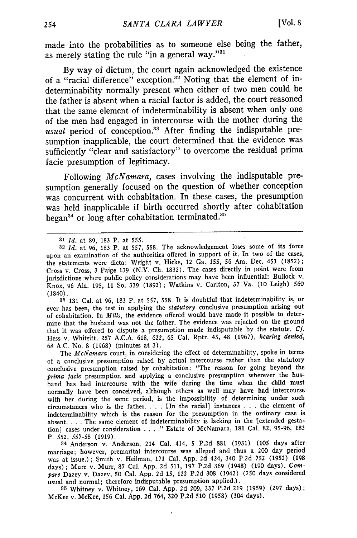made into the probabilities as to someone else being the father, as merely stating the rule "in a general way."31

By way of dictum, the court again acknowledged the existence of a "racial difference" exception.<sup>32</sup> Noting that the element of indeterminability normally present when either of two men could be the father is absent when a racial factor is added, the court reasoned that the same element of indeterminability is absent when only one of the men had engaged in intercourse with the mother during the usual period of conception.<sup>33</sup> After finding the indisputable presumption inapplicable, the court determined that the evidence was sufficiently "clear and satisfactory" to overcome the residual prima facie presumption of legitimacy.

Following *McNamara,* cases involving the indisputable presumption generally focused on the question of whether conception was concurrent with cohabitation. In these cases, the presumption was held inapplicable if birth occurred shortly after cohabitation began<sup>34</sup> or long after cohabitation terminated.<sup>35</sup>

**<sup>33</sup>**181 Cal. at 96, **183** P. at 557, 558. It is doubtful that indeterminability is, or ever has been, the test in applying the *statutory* conclusive presumption arising out of cohabitation. In *Mills,* the evidence offered would have made it possible to determine that the husband was not the father. The evidence was rejected on the ground that it was offered to dispute a presumption made indisputable by the statute. **Cf.** Hess v. Whitsitt, 257 A.C.A. 618, 622, 65 Cal. Rptr. 45, 48 (1967), *hearing denied,* 68 A.C. No. 8 (1968) (minutes at 3).

The *McNamara* court, in considering the effect of determinability, spoke in terms of a conclusive presumption raised by actual intercourse rather than the statutory conclusive presumption raised by cohabitation: "The reason for going beyond the *prima* facie presumption and applying a conclusive presumption wherever the husband has had intercourse with the wife during the time when the child must normally have been conceived, although others as well may have had intercourse with her during the same period, is the impossibility of determining under such circumstances who is the father. . **.** . [In the racial] instances **.. .**the element of indeterminability which is the reason for the presumption in the ordinary case is absent. . **.** .The same element of indeterminability is lacking in the [extended gestation] cases under consideration . **. . ...** Estate of McNamara, 181 Cal. 82, 95-96, 183 P. 552, 557-58 (1919).

**34** Anderson v. Anderson, 214 Cal. 414, 5 P.2d 881 (1931) (105 days after marriage; however, premarital intercourse was alleged and thus a 200 day period was at issue.) ; Smith v. Heilman, 171 Cal. App. 2d 424, 340 P.2d 752 (1952) (198 days); Murr v. Murr, 87 Cal. App. 2d 511, 197 P.2d 369 (1948) (190 days). *Compare* Dazey v. Dazey, 50 Cal. App. 2d 15, 122 P.2d 308 (1942) (250 days considered usual and normal; therefore indisputable presumption applied.).

**<sup>35</sup>**Whitney v. Whitney, 169 Cal. App. 2d 209, 337 P.2d 219 (1959) (297 days); McKee v. McKee, 156 Cal. App. 2d 764, 320 P.2d 510 (1958) (304 days).

**<sup>31</sup>***Id.* at **89, 183** P. at **555.**

**<sup>32</sup>***Id.* at 96, 183 P. at 557, 558. The acknowledgement loses some of its force upon an examination of the authorities offered in support of it. In two of the cases, the statements were dicta: Wright v. Hicks, 12 Ga. 155, 56 Am. Dec. 451 (1852); Cross v. Cross, 3 Paige 139 (N.Y. Ch. 1832). The cases directly in point were from jurisdictions where public policy considerations may have been influential: Bullock v. Knox, 96 Ala. 195, 11 So. 339 (1892) ; Watkins v. Carlton, 37 Va. (10 Leigh) 560 (1840).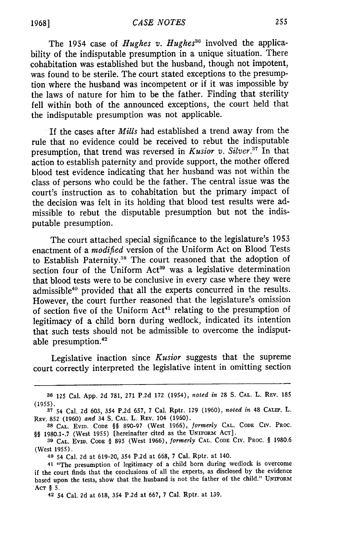The 1954 case of *Hughes v. Hughes*<sup>36</sup> involved the applicability of the indisputable presumption in a unique situation. There cohabitation was established but the husband, though not impotent, was found to be sterile. The court stated exceptions to the presumption where the husband was incompetent or if it was impossible by the laws of nature for him to be the father. Finding that sterility fell within both of the announced exceptions, the court held that the indisputable presumption was not applicable.

If the cases after *Mills* had established a trend away from the rule that no evidence could be received to rebut the indisputable presumption, that trend was reversed in *Kusior v. Silver.*<sup>37</sup> In that action to establish paternity and provide support, the mother offered blood test evidence indicating that her husband was not within the class of persons who could be the father. The central issue was the court's instruction as to cohabitation but the primary impact of the decision was felt in its holding that blood test results were admissible to rebut the disputable presumption but not the indisputable presumption.

The court attached special significance to the legislature's 1953 enactment of a *modified* version of the Uniform Act on Blood Tests to Establish Paternity.<sup>38</sup> The court reasoned that the adoption of section four of the Uniform Act<sup>39</sup> was a legislative determination that blood tests were to be conclusive in every case where they were admissible<sup>40</sup> provided that all the experts concurred in the results. However, the court further reasoned that the legislature's omission of section five of the Uniform  $Act<sup>41</sup>$  relating to the presumption of legitimacy of a child born during wedlock, indicated its intention that such tests should not be admissible to overcome the indisputable presumption. $42$ 

Legislative inaction since *Kusior* suggests that the supreme court correctly interpreted the legislative intent in omitting section

**<sup>36</sup>**125 Cal. App. 2d 781, 271 P.2d 172 (1954), *noted in* 28 S. **CAL.** L. **REV.** <sup>185</sup> (1955).

**<sup>37</sup>**54 Cal. 2d 603, 354 P.2d 657, 7 Cal. Rptr. 129 (1960), *noted in* 48 **CALIF.** L. REV. **852 (1960)** *and* 34 **S. CAL.** L. REV. 104 (1960).

**<sup>38</sup> CAL.** EvID. **CODE §§** 890-97 (West 1966), *formerly* **CAL. CODE** CIV. PROC. 99 1980.1-.7 (West 1955) [hereinafter cited as the UNIFORM **ACT].**

**<sup>39</sup> CAL. EVID. CODE** § 895 (West 1966), *formerly* **CAL. CODE** CIV. **PROC. §** 1980.6 (West 1955).

**<sup>40</sup>** 54 Cal. 2d at 619-20, 354 P.2d at 668, 7 Cal. Rptr. at 140.

<sup>41 &</sup>quot;The presumption of legitimacy of a child born during wedlock is overcome if the court finds that the conclusions of all the experts, as disclosed by the evidence based upon the tests, show that the husband is not the father of the child." UNIFORm **'ACT §** 5.

**<sup>42</sup>**54 Cal. **2d** at 618, 354 **P.2d** at **667,** 7 Cal. Rptr. at 139.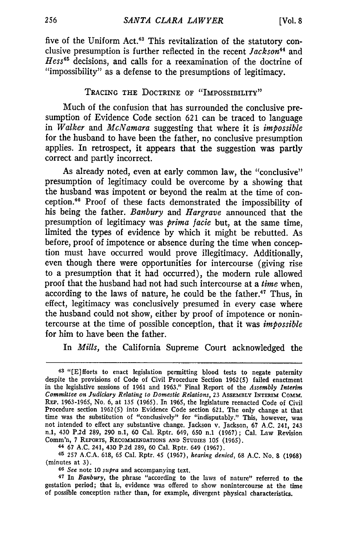five of the Uniform Act.<sup>43</sup> This revitalization of the statutory conclusive presumption is further reflected in the recent *Jackson44* and *Hess45* decisions, and calls for a reexamination of the doctrine of "impossibility" as a defense to the presumptions of legitimacy.

## TRACING THE DOCTRINE OF "IMPOSSIBILITY"

Much of the confusion that has surrounded the conclusive presumption of Evidence Code section **621** can be traced to language in *Walker* and *McNamara* suggesting that where it is *impossible* for the husband to have been the father, no conclusive presumption applies. In retrospect, it appears that the suggestion was partly correct and partly incorrect.

As already noted, even at early common law, the "conclusive" presumption of legitimacy could be overcome by a showing that the husband was impotent or beyond the realm at the time of conception. 40 Proof of these facts demonstrated the impossibility of his being the father. *Banbury* and *Hargrave* announced that the presumption of legitimacy was *prima facie* but, at the same time, limited the types of evidence by which it might be rebutted. As before, proof of impotence or absence during the time when conception must have occurred would prove illegitimacy. Additionally, even though there were opportunities for intercourse (giving rise to a presumption that it had occurred), the modern rule allowed proof that the husband had not had such intercourse at a *time* when, according to the laws of nature, he could be the father.<sup>47</sup> Thus, in effect, legitimacy was conclusively presumed in every case where the husband could not show, either by proof of impotence or nonintercourse at the time of possible conception, that it was *impossible* for him to have been the father.

In *Mills,* the California Supreme Court acknowledged the

44 67 A.C. 241, 430 P.2d 289, 60 Cal. Rptr. 649 (1967).

<sup>45</sup>**257** A.C.A. 618, 65 Cal. Rptr. 45 (1967), *hearing denied,* 68 A.C. No. 8 (1968) (minutes at 3).

**<sup>40</sup>***See* note **10** *supra* and accompanying text.

**<sup>47</sup>**In *Banbury,* the phrase "according to the laws of nature" referred to the gestation period; that is, evidence was offered to show nonintercourse at the time of possible conception rather than, for example, divergent physical characteristics.

*<sup>43</sup>*"[E]fforts to enact legislation permitting blood tests to negate paternity despite the provisions of Code of Civil Procedure Section 1962(5) failed enactment in the legislative sessions of 1961 and 1963." Final Report of the *Assembly Interim Committee on Judiciary Relating to Domestic Relations,* 23 ASSEMBLY INTERIM **COMM.** REP. 1963-1965, No. 6, at 135 (1965). In 1965, the legislature reenacted Code of Civil Procedure section 1962(5) into Evidence Code section 621. The only change at that time was the substitution of "conclusively" for "indisputably." This, however, was not intended to effect any substantive change. Jackson v. Jackson, 67 A.C. 241, 243 n.1, 430 P.2d 289, 290 n.1, 60 Cal. Rptr. 649, 650 n.1 (1967); Cal. Law Revision Comm'n, 7 REPORTS, RECOMMENDATIONS AND STUDIES 105 (1965).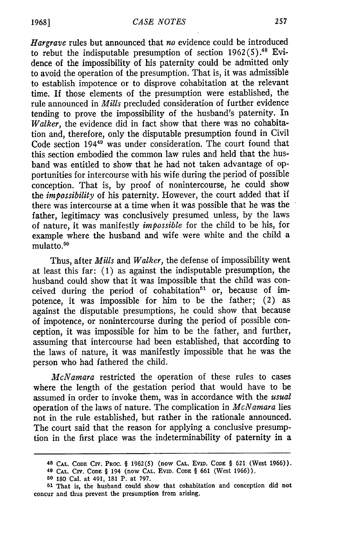*Hargrave* rules but announced that *no* evidence could be introduced to rebut the indisputable presumption of section 1962 **(5).48** Evidence of the impossibility of his paternity could be admitted only to avoid the operation of the presumption. That is, it was admissible to establish impotence or to disprove cohabitation at the relevant time. If those elements of the presumption were established, the rule announced in *Mills* precluded consideration of further evidence tending to prove the impossibility of the husband's paternity. In *Walker,* the evidence did in fact show that there was no cohabitation and, therefore, only the disputable presumption found in Civil Code section 1944" was under consideration. The court found that this section embodied the common law rules and held that the husband was entitled to show that he had not taken advantage of opportunities for intercourse with his wife during the period of possible conception. That is, by proof of nonintercourse, he could show *the impossibility* of his paternity. However, the court added that if there was intercourse at a time when it was possible that he was the father, legitimacy was conclusively presumed unless, by the laws of nature, it was manifestly *impossible* for the child to be his, for example where the husband and wife were white and the child a mulatto.50

Thus, after *Mills* and *Walker,* the defense of impossibility went at least this far: (1) as against the indisputable presumption, the husband could show that it was impossible that the child was conceived during the period of cohabitation<sup>51</sup> or, because of impotence, it was impossible for him to be the father; (2) as against the disputable presumptions, he could show that because of impotence, or nonintercourse during the period of possible conception, it was impossible for him to be the father, and further, assuming that intercourse had been established, that according to the laws of nature, it was manifestly impossible that he was the person who had fathered the child.

*McNamara* restricted the operation of these rules to cases where the length of the gestation period that would have to be assumed in order to invoke them, was in accordance with the *usual* operation of the laws of nature. The complication in *McNamara* lies not in the rule established, but rather in the rationale announced. The court said that the reason for applying a conclusive presumption in the first place was the indeterminability of paternity in a

**<sup>48</sup> CAL. CODE CiV. PROC.** § **1962(5)** (now **CAL.** Evm. **CODE** § 621 (West 1966)). 49 **CAL. CIV. CODE** § 194 (now **CAL.** EviD. **CODE** § 661 (West 1966)).

**<sup>50</sup>180** Cal. at 491, 181 P. at 797.

**<sup>51</sup>**That is, the husband could show that cohabitation and conception did not concur and thus prevent the presumption from arising.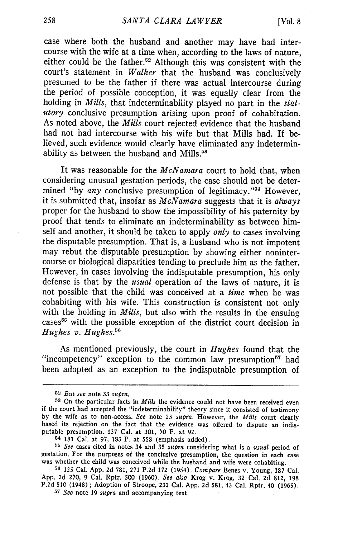case where both the husband and another may have had intercourse with the wife at a time when, according to the laws of nature, either could be the father.<sup>52</sup> Although this was consistent with the court's statement in *Walker* that the husband was conclusively presumed to be the father if there was actual intercourse during the period of possible conception, it was equally clear from the holding in *Mills,* that indeterminability played no part in the *statutory* conclusive presumption arising upon proof of cohabitation. As noted above, the *Mills* court rejected evidence that the husband had not had intercourse with his wife but that Mills had. If believed, such evidence would clearly have eliminated any indeterminability as between the husband and Mills.<sup>53</sup>

It was reasonable for the *McNamara* court to hold that, when considering unusual gestation periods, the case should not be determined "by *any* conclusive presumption of legitimacy."<sup>54</sup> However, it is submitted that, insofar as *McNamara* suggests that it is *always* proper for the husband to show the impossibility of his paternity by proof that tends to eliminate an indeterminability as between himself and another, it should be taken to apply *only* to cases involving the disputable presumption. That is, a husband who is not impotent may rebut the disputable presumption by showing either nonintercourse or biological disparities tending to preclude him as the father. However, in cases involving the indisputable presumption, his only defense is that by the *usual* operation of the laws of nature, it is not possible that the child was conceived at a *time* when he was cohabiting with his wife. This construction is consistent not only with the holding in *Mills,* but also with the results in the ensuing cases<sup>55</sup> with the possible exception of the district court decision in *Hughes v. Hughes.6*

As mentioned previously, the court in *Hughes* found that the "incompetency" exception to the common law presumption $57$  had been adopted as an exception to the indisputable presumption of

**<sup>52</sup>***But see* note 33 *supra.*

**<sup>53</sup>**On the particular facts in *Mills* the evidence could not have been received even if the court had accepted the "indeterminability" theory since it consisted of testimony by the wife as to non-access. *See* note 23 *supra.* However, the *Mills* court clearly based its rejection on the fact that the evidence was offered to dispute an indisputable presumption. 137 Cal. at 301, 70 P. at 92.

**<sup>54</sup>**181 Cal. at 97, 183 P. at 558 (emphasis added).

**<sup>55</sup>***See* cases cited in notes 34 and 35 *supra* considering what is a *usual* period of gestation. For the purposes of the conclusive presumption, the question in each case was whether the child was conceived while the husband and wife were cohabiting.

**<sup>56</sup>** 125 Cal. App. 2d 781, 271 P.2d 172 (1954). *Compare* Benes v. Young, 187 Cal. App. 2d 270, 9 Cal. Rptr. 500 (1960). *See also* Krog v. Krog, 32 Cal. 2d 812, 198 P.2d 510 (1948) ; Adoption of Stroope, **232** Cal. App. 2d 581, 43 Cal. Rptr. 40 (1965).

**<sup>57</sup>***See* note 19 *supra* and accompanying text.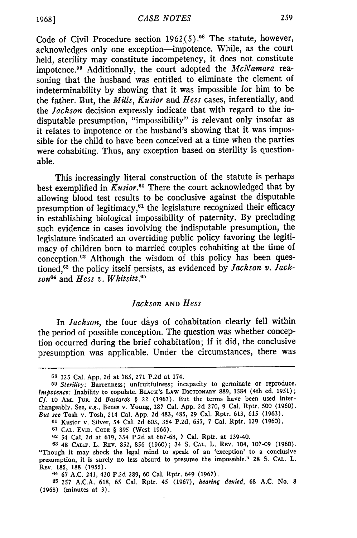Code of Civil Procedure section  $1962(5)$ .<sup>58</sup> The statute, however, acknowledges only one exception-impotence. While, as the court held, sterility may constitute incompetency, it does not constitute impotence. 59 Additionally, the court adopted the *McNamara* reasoning that the husband was entitled to eliminate the element of indeterminability by showing that it was impossible for him to be the father. But, the *Mills, Kusior* and *Hess* cases, inferentially, and the *Jackson* decision expressly indicate that with regard to the indisputable presumption, "impossibility" is relevant only insofar as it relates to impotence or the husband's showing that it was impossible for the child to have been conceived at a time when the parties were cohabiting. Thus, any exception based on sterility is questionable.

This increasingly literal construction of the statute is perhaps best exemplified in *Kusior.60* There the court acknowledged that by allowing blood test results to be conclusive against the disputable presumption of legitimacy, $61$  the legislature recognized their efficacy in establishing biological impossibility of paternity. By precluding such evidence in cases involving the indisputable presumption, the legislature indicated an overriding public policy favoring the legitimacy of children born to married couples cohabiting at the time of conception.62 Although the wisdom of this policy has been questioned,<sup>63</sup> the policy itself persists, as evidenced by *Jackson v. Jackson64* and *Hess v. Whitsitt. 5*

### *Jackson* **AND** *Hess*

In *Jackson,* the four days of cohabitation clearly fell within the period of possible conception. The question was whether conception occurred during the brief cohabitation; if it did, the conclusive presumption was applicable. Under the circumstances, there was

**<sup>60</sup>**Kusior v. Silver, 54 Cal. 2d 603, 354 P.2d, 657, 7 Cal. Rptr. 129 (1960).

**61 CAL. EvID. CODE** § 895 (West 1966).

**<sup>64</sup>**67 A.C. 241, 430 P.2d 289, 60 Cal. Rptr. 649 (1967).

**65 257** A.C.A. **618,** 65 Cal. Rptr. 45 (1967), *hearing denied,* 68 **A.C.** No. **8** (1968) (minutes at **3).**

**<sup>58</sup>** 125 Cal. App. 2d at 785, **271 P.2d** at 174.

*<sup>59</sup>Sterility:* Barrenness; unfruitfulness; incapacity to germinate or reproduce. *Impotence:* Inability to copulate. BLAcK's **LAW** DIcTioNARY 889, 1584 (4th ed. 1951) **;** *Cf.* 10 Amr. **JUR.** 2d *Bastards §* 22 (1963). But the terms have been used interchangeably. See, *e.g.,* Benes v. Young, 187 Cal. App. 2d 270, 9 Cal. Rptr. 500 (1960). *But see* Tosh v. Tosh, 214 Cal. App. 2d 483, 485, 29 Cal. Rptr. 613, 615 (1963).

**<sup>62</sup>**54 Cal. 2d at 619, 354 P.2d at 667-68, 7 Cal. Rptr. at 139-40.

**<sup>63</sup>** 48 CALIF. L. REV. 852, 856 (1960); 34 **S.** CAL. L. REV. 104, 107-09 (1960). "Though it may shock the legal mind to speak of an 'exception' to a conclusive presumption, it is surely no less absurd to presume the impossible." 28 **S.** CAL. L. REv. 185, 188 (1955).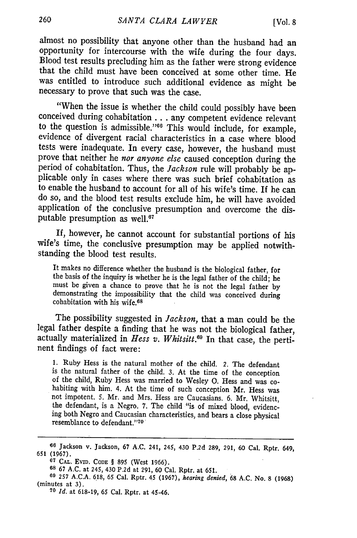almost no possibility that anyone other than the husband had an opportunity for intercourse with the wife during the four days. Blood test results precluding him as the father were strong evidence that the child must have been conceived at some other time. He was entitled to introduce such additional evidence as might be necessary to prove that such was the case.

"When the issue is whether the child could possibly have been conceived during cohabitation **. .** any competent evidence relevant to the question is admissible."<sup>66</sup> This would include, for example, evidence of divergent racial characteristics in a case where blood tests were inadequate. In every case, however, the husband must prove that neither he *nor anyone else* caused conception during the period of cohabitation. Thus, the *Jackson* rule will probably be ap-<br>plicable only in cases where there was such brief cohabitation as to enable the husband to account for all of his wife's time. If he can do so, and the blood test results exclude him, he will have avoided application of the conclusive presumption and overcome the disputable presumption as well.<sup>67</sup>

**If,** however, he cannot account for substantial portions of his wife's time, the conclusive presumption may be applied notwithstanding the blood test results.

It makes no difference whether the husband is the biological father, for the basis of the inquiry is whether he is the legal father of the child; he must be given a chance to prove that he is not the legal father by demonstrating the impossibility that the child was conceived during cohabitation with his wife.<sup>68</sup>

The possibility suggested in *Jackson*, that a man could be the legal father despite a finding that he was not the biological father, actually materialized in Hess v. Whitsitt.<sup>69</sup> In that case, the pertinent findings of fact were:

1. Ruby Hess is the natural mother of the child. *2.* The defendant is the natural father of the child. 3. At the time of the conception<br>of the child, Ruby Hess was married to Wesley O. Hess and was co-<br>habiting with him. 4. At the time of such conception Mr. Hess was<br>not impotent. 5. Mr. the defendant, is a Negro. 7. The child "is of mixed blood, evidencing both Negro and Caucasian characteristics, and bears a close physical resemblance to defendant."70

**<sup>16</sup>**Jackson v. Jackson, **67 A.C.** 241, 245, 430 P.2d **289, 291, 60** Cal. Rptr. 649, 651 (1967).

**<sup>607</sup> CAL.** EviD. **CODE** § 895 (West 1966).

**<sup>68</sup>**67 A.C. at 245, 430 P.2d at 291, 60 Cal. Rptr. at 651. **69 257** A.C.A. 618, 65 Cal. Rptr. 45 (1967), *hearing denied,* 68 A.C. No. 8 (1968) (minutes at 3). **<sup>70</sup>***Id.* at 618-19, **65** Cal. Rptr. at 45-46.